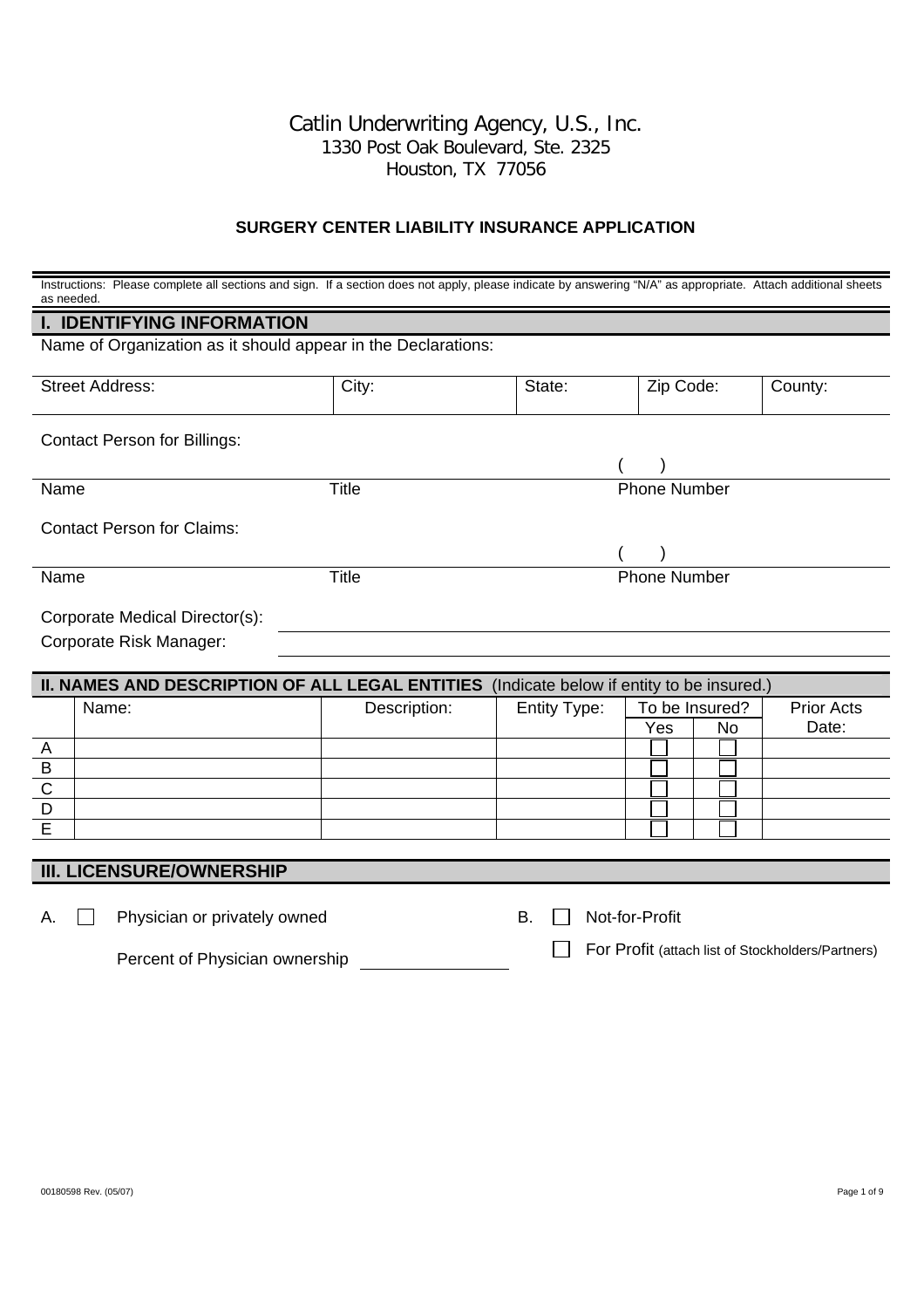#### Catlin Underwriting Agency, U.S., Inc. 1330 Post Oak Boulevard, Ste. 2325 Houston, TX 77056

#### **SURGERY CENTER LIABILITY INSURANCE APPLICATION**

| as needed                           | Instructions: Please complete all sections and sign. If a section does not apply, please indicate by answering "N/A" as appropriate. Attach additional sheets |              |                             |                                                   |                   |  |
|-------------------------------------|---------------------------------------------------------------------------------------------------------------------------------------------------------------|--------------|-----------------------------|---------------------------------------------------|-------------------|--|
|                                     | <b>I. IDENTIFYING INFORMATION</b>                                                                                                                             |              |                             |                                                   |                   |  |
|                                     | Name of Organization as it should appear in the Declarations:                                                                                                 |              |                             |                                                   |                   |  |
|                                     | <b>Street Address:</b>                                                                                                                                        | City:        | State:                      | Zip Code:                                         | County:           |  |
| <b>Contact Person for Billings:</b> |                                                                                                                                                               |              |                             |                                                   |                   |  |
|                                     |                                                                                                                                                               |              |                             |                                                   |                   |  |
| Name                                |                                                                                                                                                               | <b>Title</b> |                             | <b>Phone Number</b>                               |                   |  |
|                                     | <b>Contact Person for Claims:</b>                                                                                                                             |              |                             |                                                   |                   |  |
|                                     |                                                                                                                                                               |              |                             |                                                   |                   |  |
| Name                                |                                                                                                                                                               | <b>Title</b> |                             | <b>Phone Number</b>                               |                   |  |
|                                     | Corporate Medical Director(s):                                                                                                                                |              |                             |                                                   |                   |  |
|                                     | Corporate Risk Manager:                                                                                                                                       |              |                             |                                                   |                   |  |
|                                     |                                                                                                                                                               |              |                             |                                                   |                   |  |
|                                     | II. NAMES AND DESCRIPTION OF ALL LEGAL ENTITIES (Indicate below if entity to be insured.)                                                                     |              |                             |                                                   |                   |  |
|                                     | Name:                                                                                                                                                         | Description: | Entity Type:                | To be Insured?                                    | <b>Prior Acts</b> |  |
|                                     |                                                                                                                                                               |              |                             | Yes<br>No                                         | Date:             |  |
| A<br>$\sf B$                        |                                                                                                                                                               |              |                             |                                                   |                   |  |
|                                     |                                                                                                                                                               |              |                             |                                                   |                   |  |
| $rac{C}{D}$                         |                                                                                                                                                               |              |                             |                                                   |                   |  |
| $\overline{\mathsf{E}}$             |                                                                                                                                                               |              |                             |                                                   |                   |  |
|                                     |                                                                                                                                                               |              |                             |                                                   |                   |  |
|                                     | <b>III. LICENSURE/OWNERSHIP</b>                                                                                                                               |              |                             |                                                   |                   |  |
| А.                                  | Physician or privately owned                                                                                                                                  |              | <b>B.</b><br>Not-for-Profit |                                                   |                   |  |
|                                     | Percent of Physician ownership                                                                                                                                |              |                             | For Profit (attach list of Stockholders/Partners) |                   |  |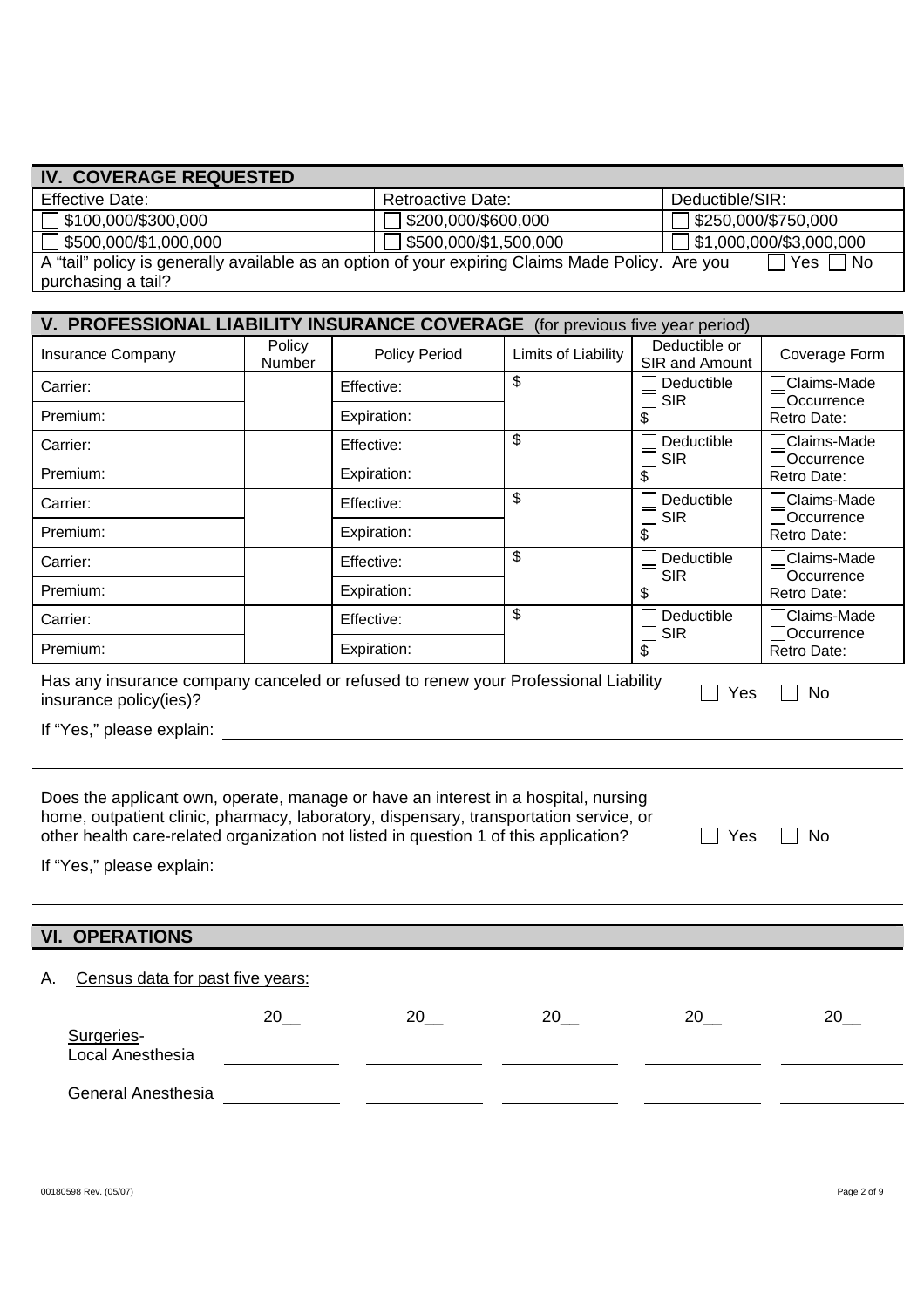| <b>Effective Date:</b>                                                                                                                                                        |                   |             | <b>Retroactive Date:</b> |                     | Deductible/SIR:         |                                 |                            |
|-------------------------------------------------------------------------------------------------------------------------------------------------------------------------------|-------------------|-------------|--------------------------|---------------------|-------------------------|---------------------------------|----------------------------|
| \$100,000/\$300,000                                                                                                                                                           |                   |             | \$200,000/\$600,000      |                     | \$250,000/\$750,000     |                                 |                            |
| \$500,000/\$1,000,000                                                                                                                                                         |                   |             | \$500,000/\$1,500,000    |                     | \$1,000,000/\$3,000,000 |                                 |                            |
| A "tail" policy is generally available as an option of your expiring Claims Made Policy. Are you<br>$\Box$ Yes<br>∏No                                                         |                   |             |                          |                     |                         |                                 |                            |
| purchasing a tail?                                                                                                                                                            |                   |             |                          |                     |                         |                                 |                            |
| V. PROFESSIONAL LIABILITY INSURANCE COVERAGE (for previous five year period)                                                                                                  |                   |             |                          |                     |                         |                                 |                            |
| Insurance Company                                                                                                                                                             | Policy<br>Number  |             | <b>Policy Period</b>     | Limits of Liability |                         | Deductible or<br>SIR and Amount | Coverage Form              |
| Carrier:                                                                                                                                                                      |                   | Effective:  |                          | \$                  |                         | Deductible<br><b>SIR</b>        | Claims-Made<br>Occurrence  |
| Premium:                                                                                                                                                                      |                   | Expiration: |                          |                     | \$                      |                                 | Retro Date:                |
| Carrier:                                                                                                                                                                      |                   | Effective:  |                          | \$                  |                         | Deductible<br><b>SIR</b>        | Claims-Made<br>□Occurrence |
| Premium:                                                                                                                                                                      |                   | Expiration: |                          |                     | \$                      |                                 | Retro Date:                |
| Carrier:                                                                                                                                                                      |                   | Effective:  |                          | \$                  |                         | Deductible<br><b>SIR</b>        | Claims-Made<br>Occurrence  |
| Premium:                                                                                                                                                                      |                   | Expiration: |                          |                     | \$                      |                                 | Retro Date:                |
| Carrier:                                                                                                                                                                      |                   | Effective:  |                          | \$                  |                         | Deductible<br><b>SIR</b>        | Claims-Made<br>Occurrence  |
| Premium:                                                                                                                                                                      |                   | Expiration: |                          |                     | \$                      |                                 | Retro Date:                |
| Carrier:                                                                                                                                                                      |                   | Effective:  |                          | \$                  |                         | Deductible<br><b>SIR</b>        | Claims-Made<br>Occurrence  |
| Premium:                                                                                                                                                                      |                   | Expiration: |                          |                     | \$                      |                                 | Retro Date:                |
| Has any insurance company canceled or refused to renew your Professional Liability<br>Yes<br>No<br>insurance policy(ies)?                                                     |                   |             |                          |                     |                         |                                 |                            |
| If "Yes," please explain:                                                                                                                                                     |                   |             |                          |                     |                         |                                 |                            |
|                                                                                                                                                                               |                   |             |                          |                     |                         |                                 |                            |
| Does the applicant own, operate, manage or have an interest in a hospital, nursing                                                                                            |                   |             |                          |                     |                         |                                 |                            |
| home, outpatient clinic, pharmacy, laboratory, dispensary, transportation service, or<br>other health care-related organization not listed in question 1 of this application? |                   |             |                          |                     |                         | Yes                             | No                         |
|                                                                                                                                                                               |                   |             |                          |                     |                         |                                 |                            |
| If "Yes," please explain:                                                                                                                                                     |                   |             |                          |                     |                         |                                 |                            |
|                                                                                                                                                                               |                   |             |                          |                     |                         |                                 |                            |
| <b>VI. OPERATIONS</b>                                                                                                                                                         |                   |             |                          |                     |                         |                                 |                            |
| Census data for past five years:<br>Α.                                                                                                                                        |                   |             |                          |                     |                         |                                 |                            |
|                                                                                                                                                                               |                   |             |                          |                     |                         |                                 |                            |
| Surgeries-                                                                                                                                                                    | $20$ <sub>—</sub> |             | $20$ <sub>—</sub>        | $20$ <sub>——</sub>  |                         | 20                              | 20                         |
| Local Anesthesia                                                                                                                                                              |                   |             |                          |                     |                         |                                 |                            |
| General Anesthesia                                                                                                                                                            |                   |             |                          |                     |                         |                                 |                            |
|                                                                                                                                                                               |                   |             |                          |                     |                         |                                 |                            |

**IV. COVERAGE REQUESTED**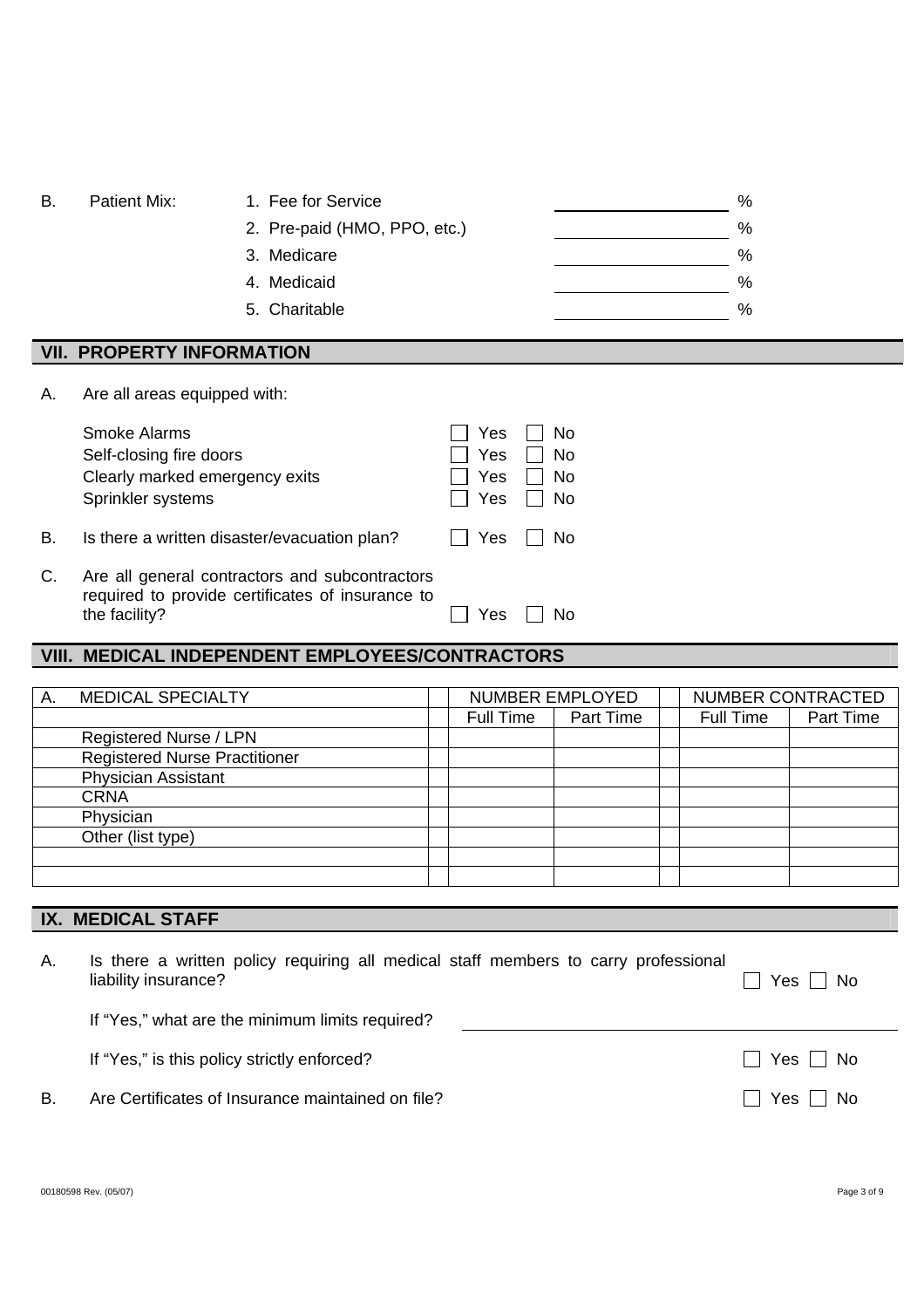| В. | Patient Mix:                     | 1. Fee for Service           | % |
|----|----------------------------------|------------------------------|---|
|    |                                  | 2. Pre-paid (HMO, PPO, etc.) | % |
|    |                                  | 3. Medicare                  | % |
|    |                                  | 4. Medicaid                  | % |
|    |                                  | 5. Charitable                | % |
|    | <b>VII. PROPERTY INFORMATION</b> |                              |   |
|    |                                  |                              |   |
| Α. | Are all areas equipped with:     |                              |   |

|    | <b>Smoke Alarms</b>                                                                                | Yes    No            |           |
|----|----------------------------------------------------------------------------------------------------|----------------------|-----------|
|    | Self-closing fire doors                                                                            | Π Yes                | No        |
|    | Clearly marked emergency exits                                                                     | $\Box$ Yes           | $\Box$ No |
|    | Sprinkler systems                                                                                  | $\Box$ Yes $\Box$ No |           |
| В. | Is there a written disaster/evacuation plan?                                                       | II Yes II No         |           |
| С. | Are all general contractors and subcontractors<br>required to provide certificates of insurance to |                      |           |

required to provide the facility?  $\Box$  Yes  $\Box$  No

# **VIII. MEDICAL INDEPENDENT EMPLOYEES/CONTRACTORS**

| А. | <b>MEDICAL SPECIALTY</b>             | NUMBER EMPLOYED |           | NUMBER CONTRACTED |           |
|----|--------------------------------------|-----------------|-----------|-------------------|-----------|
|    |                                      | Full Time       | Part Time | Full Time         | Part Time |
|    | Registered Nurse / LPN               |                 |           |                   |           |
|    | <b>Registered Nurse Practitioner</b> |                 |           |                   |           |
|    | <b>Physician Assistant</b>           |                 |           |                   |           |
|    | <b>CRNA</b>                          |                 |           |                   |           |
|    | Physician                            |                 |           |                   |           |
|    | Other (list type)                    |                 |           |                   |           |
|    |                                      |                 |           |                   |           |
|    |                                      |                 |           |                   |           |
|    |                                      |                 |           |                   |           |

# **IX. MEDICAL STAFF**

| Α. | Is there a written policy requiring all medical staff members to carry professional<br>liability insurance? | Yes $\Box$ No |
|----|-------------------------------------------------------------------------------------------------------------|---------------|
|    | If "Yes," what are the minimum limits required?                                                             |               |
|    | If "Yes," is this policy strictly enforced?                                                                 | □ Yes □ No    |
| B  | Are Certificates of Insurance maintained on file?                                                           | Yes     No    |
|    |                                                                                                             |               |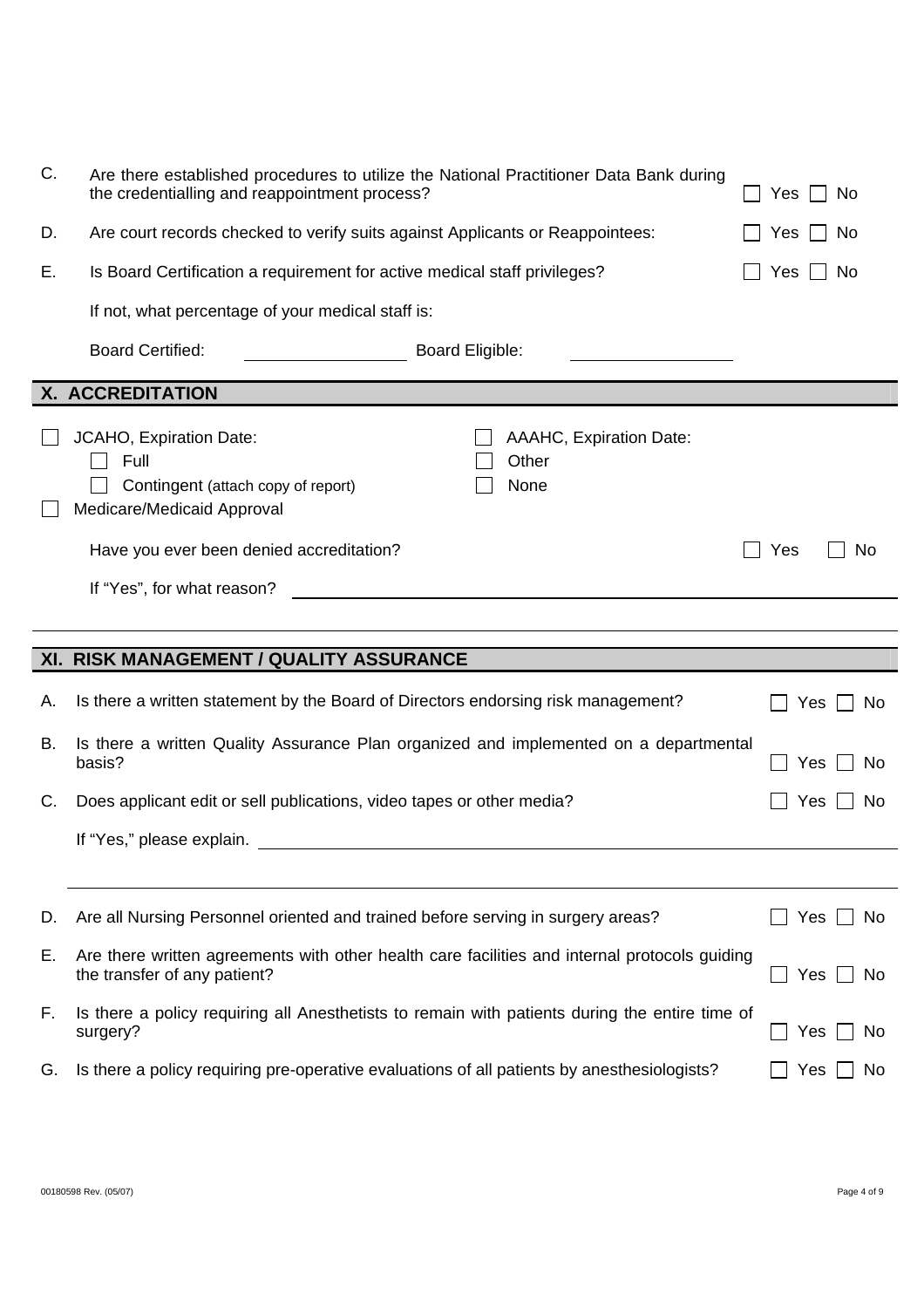| C. | Are there established procedures to utilize the National Practitioner Data Bank during<br>the credentialling and reappointment process?            | Yes<br>No   |
|----|----------------------------------------------------------------------------------------------------------------------------------------------------|-------------|
| D. | Are court records checked to verify suits against Applicants or Reappointees:                                                                      | No<br>Yes   |
| Е. | Is Board Certification a requirement for active medical staff privileges?                                                                          | Yes<br>No   |
|    | If not, what percentage of your medical staff is:                                                                                                  |             |
|    | <b>Board Certified:</b><br><b>Board Eligible:</b>                                                                                                  |             |
|    | X. ACCREDITATION                                                                                                                                   |             |
|    | JCAHO, Expiration Date:<br>AAAHC, Expiration Date:<br>Full<br>Other<br>Contingent (attach copy of report)<br>None<br>Medicare/Medicaid Approval    |             |
|    | Have you ever been denied accreditation?                                                                                                           | Yes<br>No   |
|    | If "Yes", for what reason?<br><u> 1980 - Jan Stein Stein Stein Stein Stein Stein Stein Stein Stein Stein Stein Stein Stein Stein Stein Stein S</u> |             |
|    |                                                                                                                                                    |             |
|    |                                                                                                                                                    |             |
|    | XI. RISK MANAGEMENT / QUALITY ASSURANCE                                                                                                            |             |
| Α. | Is there a written statement by the Board of Directors endorsing risk management?                                                                  | Yes<br>No.  |
| В. | Is there a written Quality Assurance Plan organized and implemented on a departmental<br>basis?                                                    | Yes<br>No.  |
| C. | Does applicant edit or sell publications, video tapes or other media?                                                                              | Yes ∐<br>No |
|    | If "Yes," please explain.                                                                                                                          |             |
|    |                                                                                                                                                    |             |
| D. | Are all Nursing Personnel oriented and trained before serving in surgery areas?                                                                    | Yes<br>No.  |
| Е. | Are there written agreements with other health care facilities and internal protocols guiding<br>the transfer of any patient?                      | Yes<br>No.  |
| F. | Is there a policy requiring all Anesthetists to remain with patients during the entire time of<br>surgery?                                         | Yes<br>Nο   |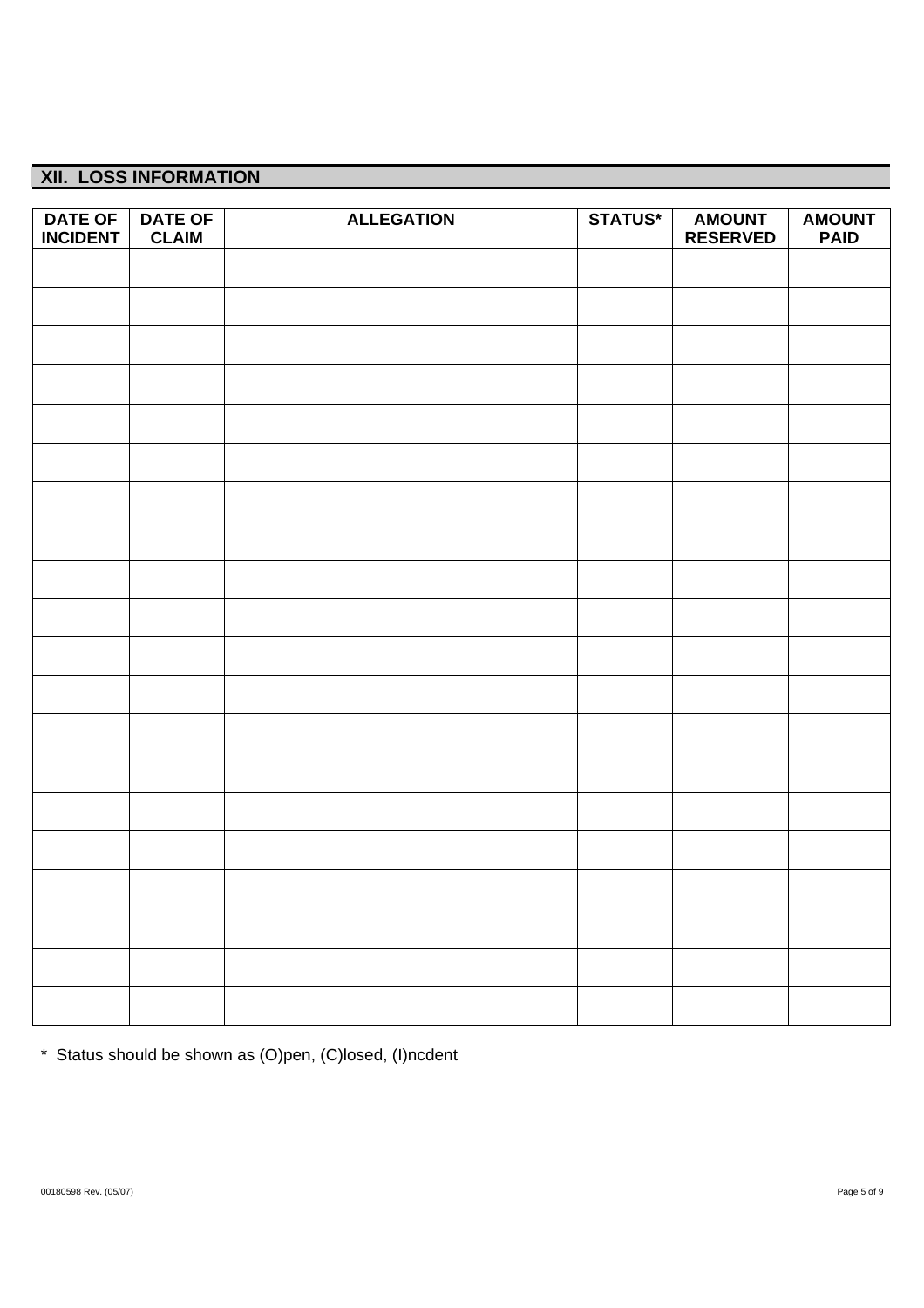# **XII. LOSS INFORMATION**

| <b>DATE OF</b>  | <b>DATE OF</b> | <b>ALLEGATION</b> | <b>STATUS*</b> | <b>AMOUNT</b>   | <b>AMOUNT</b> |
|-----------------|----------------|-------------------|----------------|-----------------|---------------|
| <b>INCIDENT</b> | <b>CLAIM</b>   |                   |                | <b>RESERVED</b> | <b>PAID</b>   |
|                 |                |                   |                |                 |               |
|                 |                |                   |                |                 |               |
|                 |                |                   |                |                 |               |
|                 |                |                   |                |                 |               |
|                 |                |                   |                |                 |               |
|                 |                |                   |                |                 |               |
|                 |                |                   |                |                 |               |
|                 |                |                   |                |                 |               |
|                 |                |                   |                |                 |               |
|                 |                |                   |                |                 |               |
|                 |                |                   |                |                 |               |
|                 |                |                   |                |                 |               |
|                 |                |                   |                |                 |               |
|                 |                |                   |                |                 |               |
|                 |                |                   |                |                 |               |
|                 |                |                   |                |                 |               |
|                 |                |                   |                |                 |               |
|                 |                |                   |                |                 |               |
|                 |                |                   |                |                 |               |
|                 |                |                   |                |                 |               |
|                 |                |                   |                |                 |               |
|                 |                |                   |                |                 |               |
|                 |                |                   |                |                 |               |

\* Status should be shown as (O)pen, (C)losed, (I)ncdent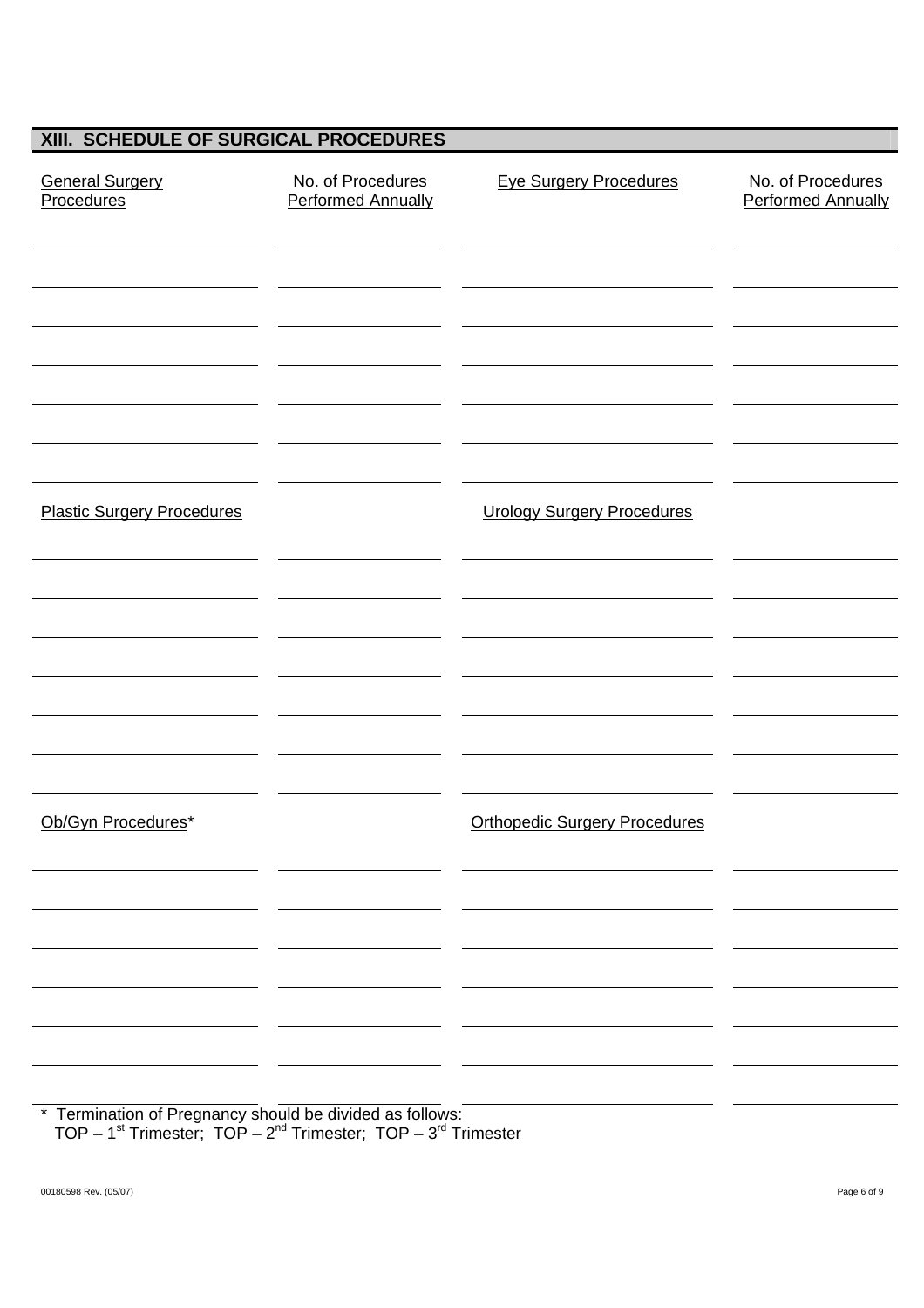# **XIII. SCHEDULE OF SURGICAL PROCEDURES**

| <b>General Surgery</b><br><b>Procedures</b>              | No. of Procedures<br><b>Performed Annually</b> | <b>Eye Surgery Procedures</b>        | No. of Procedures<br><b>Performed Annually</b> |
|----------------------------------------------------------|------------------------------------------------|--------------------------------------|------------------------------------------------|
|                                                          |                                                |                                      |                                                |
|                                                          |                                                |                                      |                                                |
|                                                          |                                                |                                      |                                                |
| <b>Plastic Surgery Procedures</b>                        |                                                | <b>Urology Surgery Procedures</b>    |                                                |
|                                                          |                                                |                                      |                                                |
|                                                          |                                                |                                      |                                                |
|                                                          |                                                |                                      |                                                |
|                                                          |                                                |                                      |                                                |
| Ob/Gyn Procedures*                                       |                                                | <b>Orthopedic Surgery Procedures</b> |                                                |
|                                                          |                                                |                                      |                                                |
|                                                          |                                                |                                      |                                                |
|                                                          |                                                |                                      |                                                |
| * Termination of Pregnancy should be divided as follows: |                                                |                                      |                                                |

TOP –  $1^{st}$  Trimester;  $TOP - 2^{nd}$  Trimester;  $TOP - 3^{rd}$  Trimester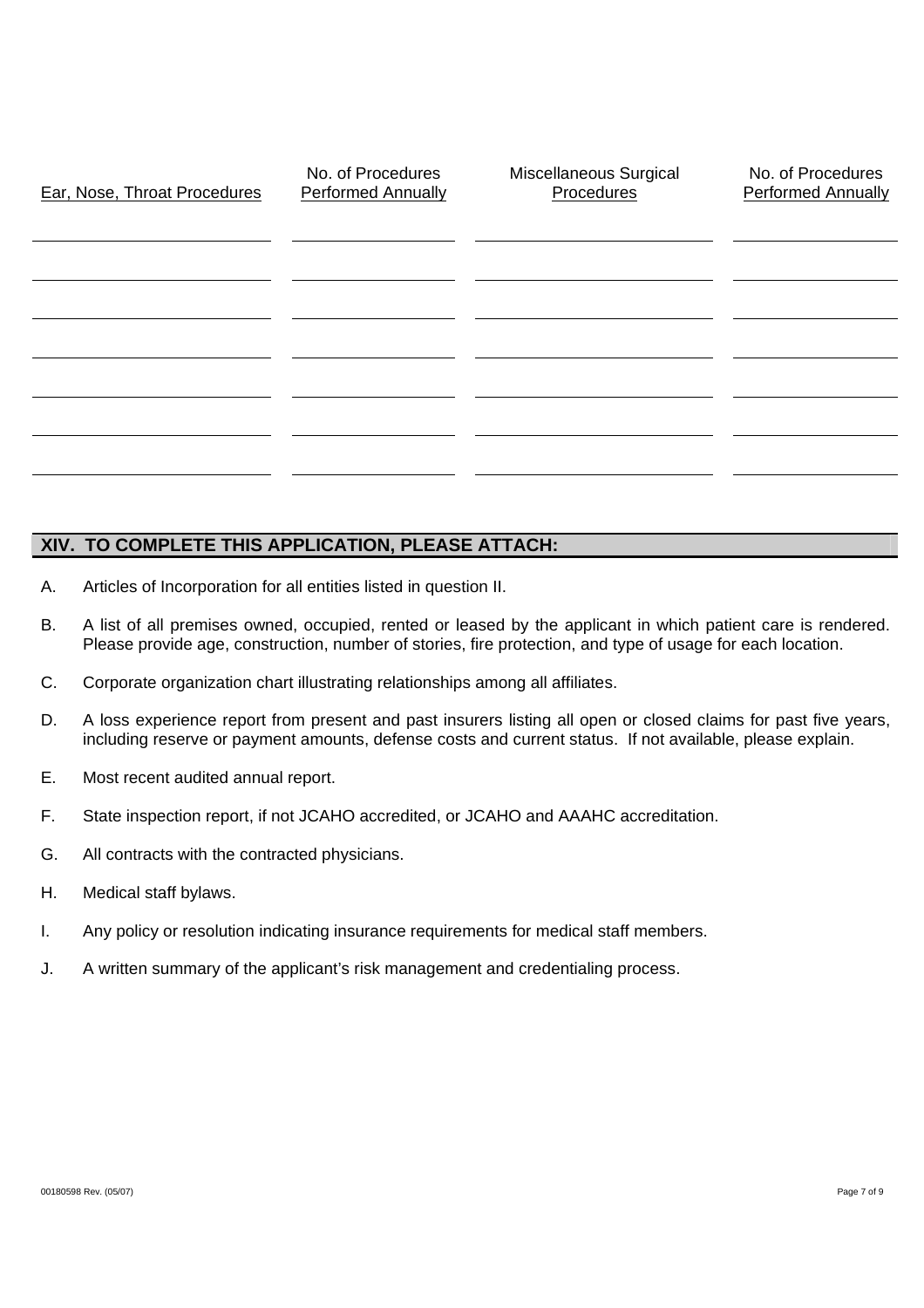| Ear, Nose, Throat Procedures | No. of Procedures<br><b>Performed Annually</b> | Miscellaneous Surgical<br>Procedures | No. of Procedures<br><b>Performed Annually</b> |
|------------------------------|------------------------------------------------|--------------------------------------|------------------------------------------------|
|                              |                                                |                                      |                                                |
|                              |                                                |                                      |                                                |
|                              |                                                |                                      |                                                |
|                              |                                                |                                      |                                                |
|                              |                                                |                                      |                                                |

#### **XIV. TO COMPLETE THIS APPLICATION, PLEASE ATTACH:**

- A. Articles of Incorporation for all entities listed in question II.
- B. A list of all premises owned, occupied, rented or leased by the applicant in which patient care is rendered. Please provide age, construction, number of stories, fire protection, and type of usage for each location.
- C. Corporate organization chart illustrating relationships among all affiliates.
- D. A loss experience report from present and past insurers listing all open or closed claims for past five years, including reserve or payment amounts, defense costs and current status. If not available, please explain.
- E. Most recent audited annual report.
- F. State inspection report, if not JCAHO accredited, or JCAHO and AAAHC accreditation.
- G. All contracts with the contracted physicians.
- H. Medical staff bylaws.
- I. Any policy or resolution indicating insurance requirements for medical staff members.
- J. A written summary of the applicant's risk management and credentialing process.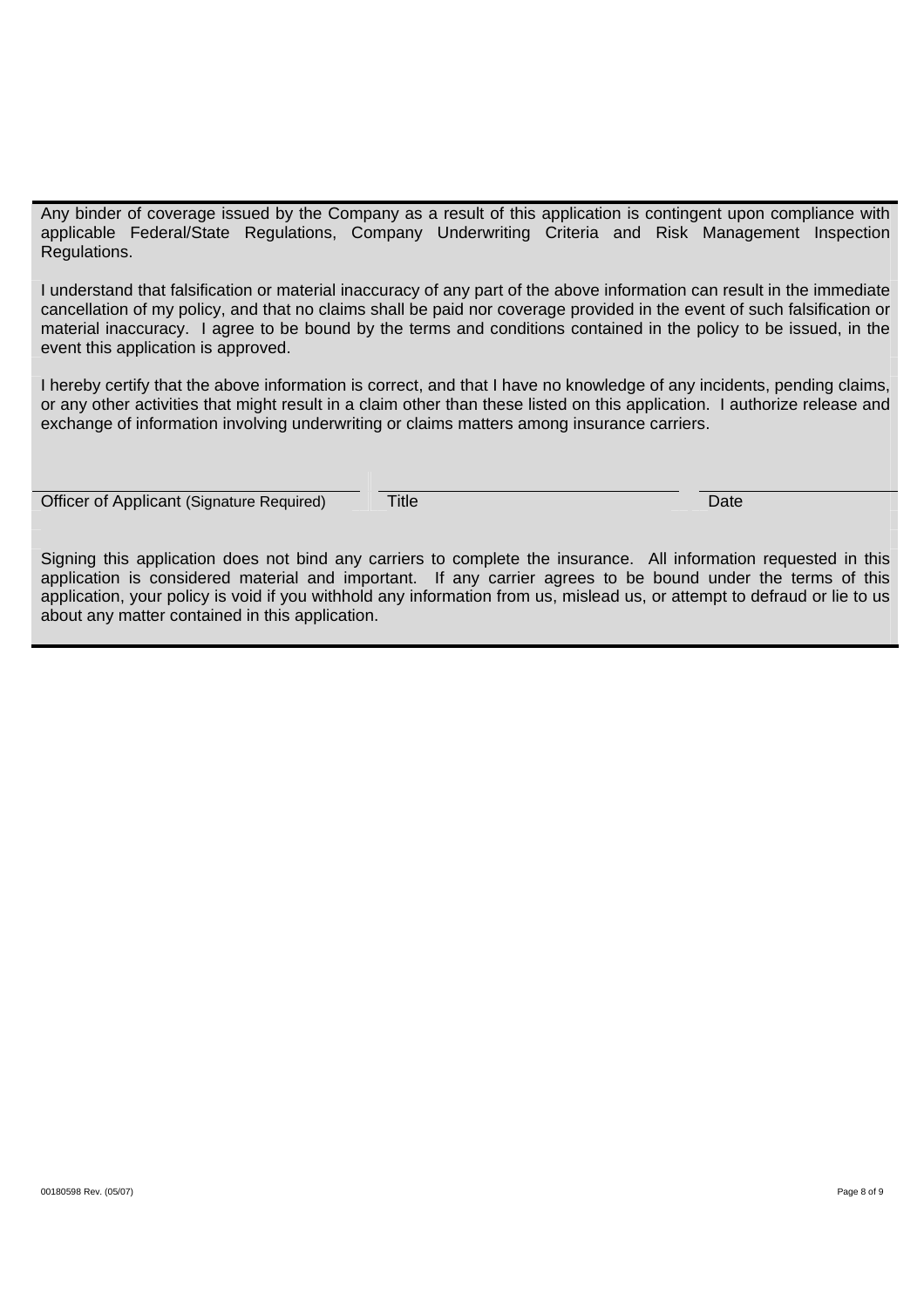Any binder of coverage issued by the Company as a result of this application is contingent upon compliance with applicable Federal/State Regulations, Company Underwriting Criteria and Risk Management Inspection Regulations.

I understand that falsification or material inaccuracy of any part of the above information can result in the immediate cancellation of my policy, and that no claims shall be paid nor coverage provided in the event of such falsification or material inaccuracy. I agree to be bound by the terms and conditions contained in the policy to be issued, in the event this application is approved.

I hereby certify that the above information is correct, and that I have no knowledge of any incidents, pending claims, or any other activities that might result in a claim other than these listed on this application. I authorize release and exchange of information involving underwriting or claims matters among insurance carriers.

Officer of Applicant (Signature Required) Title Date

Signing this application does not bind any carriers to complete the insurance. All information requested in this application is considered material and important. If any carrier agrees to be bound under the terms of this application, your policy is void if you withhold any information from us, mislead us, or attempt to defraud or lie to us about any matter contained in this application.